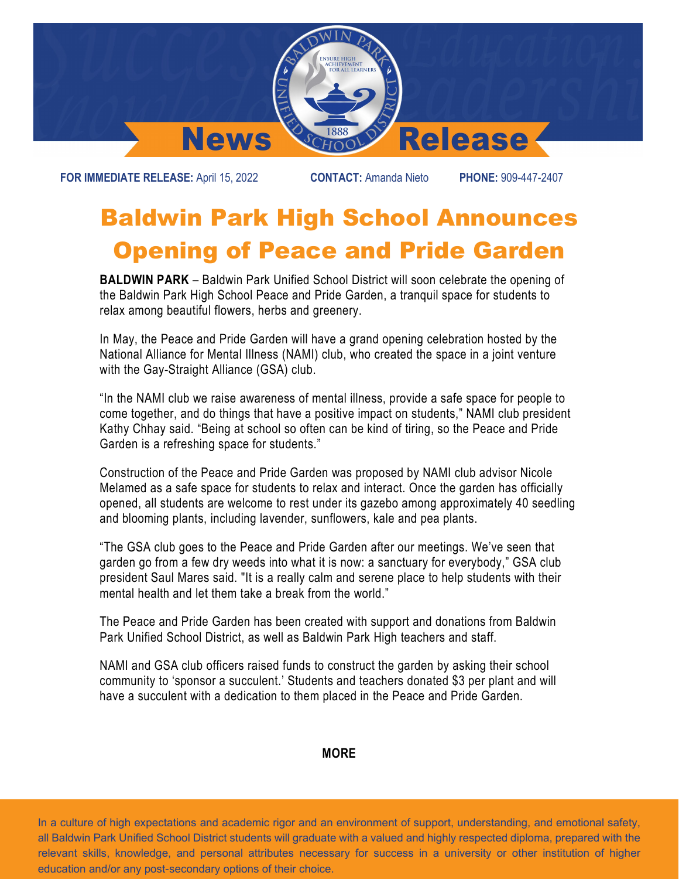

**FOR IMMEDIATE RELEASE:** April 15, 2022 **CONTACT:** Amanda Nieto **PHONE:** 909-447-2407

## Baldwin Park High School Announces Opening of Peace and Pride Garden

**BALDWIN PARK** – Baldwin Park Unified School District will soon celebrate the opening of the Baldwin Park High School Peace and Pride Garden, a tranquil space for students to relax among beautiful flowers, herbs and greenery.

In May, the Peace and Pride Garden will have a grand opening celebration hosted by the National Alliance for Mental Illness (NAMI) club, who created the space in a joint venture with the Gay-Straight Alliance (GSA) club.

"In the NAMI club we raise awareness of mental illness, provide a safe space for people to come together, and do things that have a positive impact on students," NAMI club president Kathy Chhay said. "Being at school so often can be kind of tiring, so the Peace and Pride Garden is a refreshing space for students."

Construction of the Peace and Pride Garden was proposed by NAMI club advisor Nicole Melamed as a safe space for students to relax and interact. Once the garden has officially opened, all students are welcome to rest under its gazebo among approximately 40 seedling and blooming plants, including lavender, sunflowers, kale and pea plants.

"The GSA club goes to the Peace and Pride Garden after our meetings. We've seen that garden go from a few dry weeds into what it is now: a sanctuary for everybody," GSA club president Saul Mares said. "It is a really calm and serene place to help students with their mental health and let them take a break from the world."

The Peace and Pride Garden has been created with support and donations from Baldwin Park Unified School District, as well as Baldwin Park High teachers and staff.

NAMI and GSA club officers raised funds to construct the garden by asking their school community to 'sponsor a succulent.' Students and teachers donated \$3 per plant and will have a succulent with a dedication to them placed in the Peace and Pride Garden.

## **MORE**

In a culture of high expectations and academic rigor and an environment of support, understanding, and emotional safety, all Baldwin Park Unified School District students will graduate with a valued and highly respected diploma, prepared with the relevant skills, knowledge, and personal attributes necessary for success in a university or other institution of higher education and/or any post-secondary options of their choice.